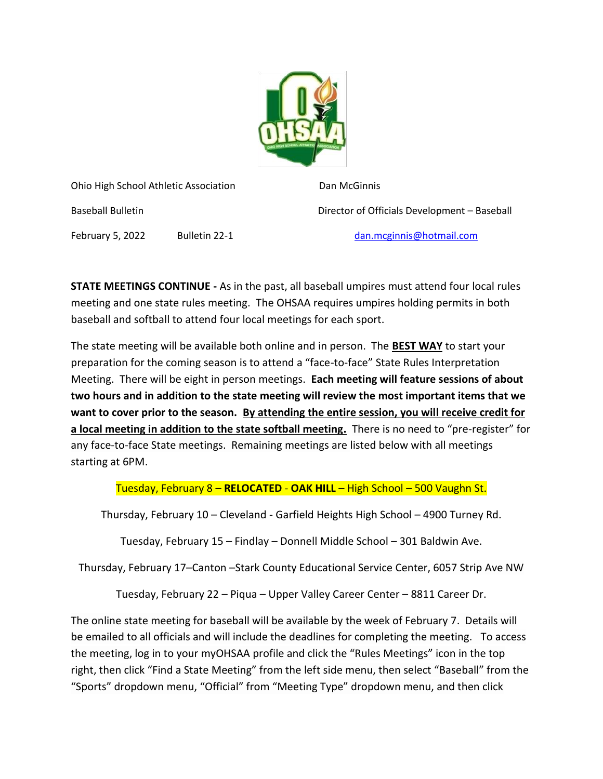

Ohio High School Athletic Association Dan McGinnis Baseball Bulletin Director of Officials Development – Baseball February 5, 2022 Bulletin 22-1 [dan.mcginnis@hotmail.com](mailto:dan.mcginnis@hotmail.com)

**STATE MEETINGS CONTINUE -** As in the past, all baseball umpires must attend four local rules meeting and one state rules meeting. The OHSAA requires umpires holding permits in both baseball and softball to attend four local meetings for each sport.

The state meeting will be available both online and in person. The **BEST WAY** to start your preparation for the coming season is to attend a "face-to-face" State Rules Interpretation Meeting. There will be eight in person meetings. **Each meeting will feature sessions of about two hours and in addition to the state meeting will review the most important items that we want to cover prior to the season. By attending the entire session, you will receive credit for a local meeting in addition to the state softball meeting.** There is no need to "pre-register" for any face-to-face State meetings. Remaining meetings are listed below with all meetings starting at 6PM.

Tuesday, February 8 – **RELOCATED** - **OAK HILL** – High School – 500 Vaughn St.

Thursday, February 10 – Cleveland - Garfield Heights High School – 4900 Turney Rd.

Tuesday, February 15 – Findlay – Donnell Middle School – 301 Baldwin Ave.

Thursday, February 17–Canton –Stark County Educational Service Center, 6057 Strip Ave NW

Tuesday, February 22 – Piqua – Upper Valley Career Center – 8811 Career Dr.

The online state meeting for baseball will be available by the week of February 7. Details will be emailed to all officials and will include the deadlines for completing the meeting. To access the meeting, log in to your myOHSAA profile and click the "Rules Meetings" icon in the top right, then click "Find a State Meeting" from the left side menu, then select "Baseball" from the "Sports" dropdown menu, "Official" from "Meeting Type" dropdown menu, and then click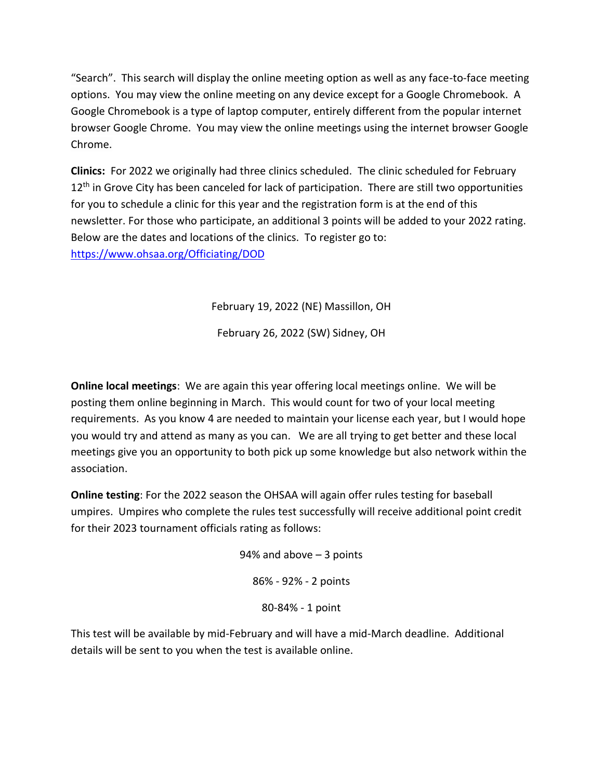"Search". This search will display the online meeting option as well as any face-to-face meeting options. You may view the online meeting on any device except for a Google Chromebook. A Google Chromebook is a type of laptop computer, entirely different from the popular internet browser Google Chrome. You may view the online meetings using the internet browser Google Chrome.

**Clinics:** For 2022 we originally had three clinics scheduled. The clinic scheduled for February  $12<sup>th</sup>$  in Grove City has been canceled for lack of participation. There are still two opportunities for you to schedule a clinic for this year and the registration form is at the end of this newsletter. For those who participate, an additional 3 points will be added to your 2022 rating. Below are the dates and locations of the clinics. To register go to: <https://www.ohsaa.org/Officiating/DOD>

February 19, 2022 (NE) Massillon, OH

February 26, 2022 (SW) Sidney, OH

**Online local meetings**: We are again this year offering local meetings online. We will be posting them online beginning in March. This would count for two of your local meeting requirements. As you know 4 are needed to maintain your license each year, but I would hope you would try and attend as many as you can. We are all trying to get better and these local meetings give you an opportunity to both pick up some knowledge but also network within the association.

**Online testing**: For the 2022 season the OHSAA will again offer rules testing for baseball umpires. Umpires who complete the rules test successfully will receive additional point credit for their 2023 tournament officials rating as follows:

> 94% and above – 3 points 86% - 92% - 2 points 80-84% - 1 point

This test will be available by mid-February and will have a mid-March deadline. Additional details will be sent to you when the test is available online.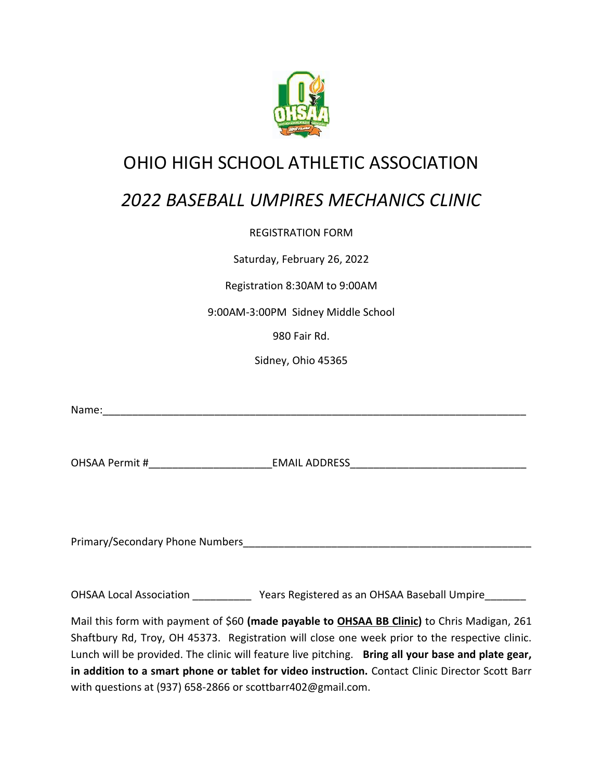

### OHIO HIGH SCHOOL ATHLETIC ASSOCIATION

## *2022 BASEBALL UMPIRES MECHANICS CLINIC*

#### REGISTRATION FORM

Saturday, February 26, 2022

#### Registration 8:30AM to 9:00AM

9:00AM-3:00PM Sidney Middle School

980 Fair Rd.

Sidney, Ohio 45365

Name:\_\_\_\_\_\_\_\_\_\_\_\_\_\_\_\_\_\_\_\_\_\_\_\_\_\_\_\_\_\_\_\_\_\_\_\_\_\_\_\_\_\_\_\_\_\_\_\_\_\_\_\_\_\_\_\_\_\_\_\_\_\_\_\_\_\_\_\_\_\_\_\_

OHSAA Permit #\_\_\_\_\_\_\_\_\_\_\_\_\_\_\_\_\_\_\_\_\_EMAIL ADDRESS\_\_\_\_\_\_\_\_\_\_\_\_\_\_\_\_\_\_\_\_\_\_\_\_\_\_\_\_\_\_

Primary/Secondary Phone Numbers and the state of the state of the state of the state of the state of the state o

OHSAA Local Association \_\_\_\_\_\_\_\_\_\_\_\_\_ Years Registered as an OHSAA Baseball Umpire\_\_\_\_\_\_\_\_

Mail this form with payment of \$60 **(made payable to OHSAA BB Clinic)** to Chris Madigan, 261 Shaftbury Rd, Troy, OH 45373. Registration will close one week prior to the respective clinic. Lunch will be provided. The clinic will feature live pitching. **Bring all your base and plate gear, in addition to a smart phone or tablet for video instruction.** Contact Clinic Director Scott Barr with questions at (937) 658-2866 or scottbarr402@gmail.com.